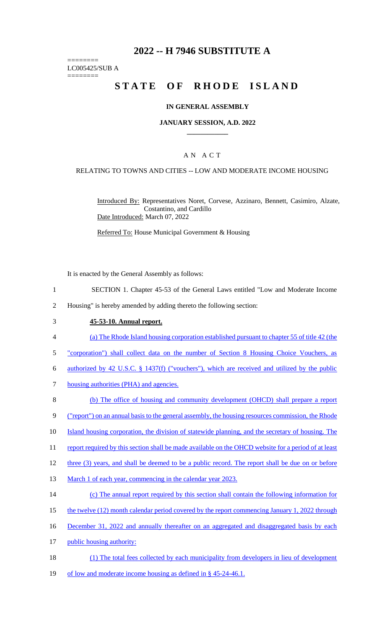# **2022 -- H 7946 SUBSTITUTE A**

======== LC005425/SUB A

========

# STATE OF RHODE ISLAND

#### **IN GENERAL ASSEMBLY**

#### **JANUARY SESSION, A.D. 2022 \_\_\_\_\_\_\_\_\_\_\_\_**

### A N A C T

#### RELATING TO TOWNS AND CITIES -- LOW AND MODERATE INCOME HOUSING

Introduced By: Representatives Noret, Corvese, Azzinaro, Bennett, Casimiro, Alzate, Costantino, and Cardillo Date Introduced: March 07, 2022

Referred To: House Municipal Government & Housing

It is enacted by the General Assembly as follows:

- 1 SECTION 1. Chapter 45-53 of the General Laws entitled "Low and Moderate Income
- 2 Housing" is hereby amended by adding thereto the following section:
- 3 **45-53-10. Annual report.**
- 4 (a) The Rhode Island housing corporation established pursuant to chapter 55 of title 42 (the
- 5 "corporation") shall collect data on the number of Section 8 Housing Choice Vouchers, as
- 6 authorized by 42 U.S.C. § 1437(f) ("vouchers"), which are received and utilized by the public
- 7 housing authorities (PHA) and agencies.
- 8 (b) The office of housing and community development (OHCD) shall prepare a report
- 9 ("report") on an annual basis to the general assembly, the housing resources commission, the Rhode
- 10 Island housing corporation, the division of statewide planning, and the secretary of housing. The
- 11 report required by this section shall be made available on the OHCD website for a period of at least
- 12 three (3) years, and shall be deemed to be a public record. The report shall be due on or before
- 13 March 1 of each year, commencing in the calendar year 2023.
- 14 (c) The annual report required by this section shall contain the following information for
- 15 the twelve (12) month calendar period covered by the report commencing January 1, 2022 through
- 16 December 31, 2022 and annually thereafter on an aggregated and disaggregated basis by each
- 17 public housing authority:
- 18 (1) The total fees collected by each municipality from developers in lieu of development
- 19 of low and moderate income housing as defined in § 45-24-46.1.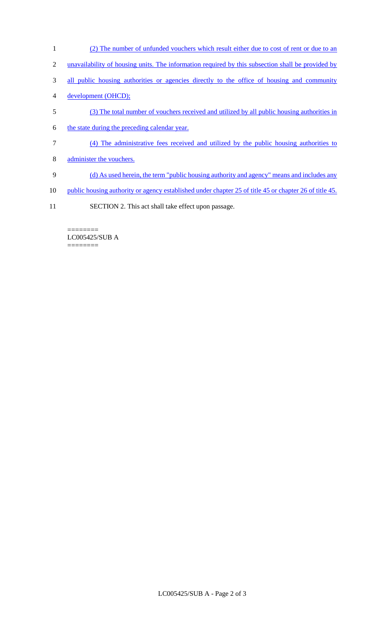- 1 (2) The number of unfunded vouchers which result either due to cost of rent or due to an
- 2 unavailability of housing units. The information required by this subsection shall be provided by
- 3 all public housing authorities or agencies directly to the office of housing and community
- 4 development (OHCD);
- 5 (3) The total number of vouchers received and utilized by all public housing authorities in
- 6 the state during the preceding calendar year.
- 7 (4) The administrative fees received and utilized by the public housing authorities to
- 8 administer the vouchers.
- 9 (d) As used herein, the term "public housing authority and agency" means and includes any
- 10 public housing authority or agency established under chapter 25 of title 45 or chapter 26 of title 45.
- 11 SECTION 2. This act shall take effect upon passage.

======== LC005425/SUB A ========